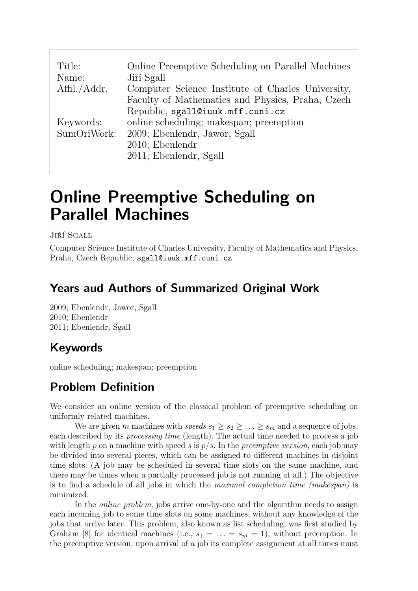| Title:<br>Name: | Online Preemptive Scheduling on Parallel Machines<br>Jiří Sgall |
|-----------------|-----------------------------------------------------------------|
| Affil./Addr.    | Computer Science Institute of Charles University,               |
|                 | Faculty of Mathematics and Physics, Praha, Czech                |
|                 | Republic, sgall@iuuk.mff.cuni.cz                                |
| Keywords:       | online scheduling; makespan; preemption                         |
| SumOriWork:     | 2009; Ebenlendr, Jawor, Sgall                                   |
|                 | 2010; Ebenlendr                                                 |
|                 | 2011; Ebenlendr, Sgall                                          |

# Online Preemptive Scheduling on Parallel Machines

JIŘÍ SGALL

Computer Science Institute of Charles University, Faculty of Mathematics and Physics, Praha, Czech Republic, sgall@iuuk.mff.cuni.cz

## Years aud Authors of Summarized Original Work

2009; Ebenlendr, Jawor, Sgall 2010; Ebenlendr 2011; Ebenlendr, Sgall

# Keywords

online scheduling; makespan; preemption

# Problem Definition

We consider an online version of the classical problem of preemptive scheduling on uniformly related machines.

We are given m machines with speeds  $s_1 \geq s_2 \geq \ldots \geq s_m$  and a sequence of jobs, each described by its processing time (length). The actual time needed to process a job with length p on a machine with speed s is  $p/s$ . In the preemptive version, each job may be divided into several pieces, which can be assigned to different machines in disjoint time slots. (A job may be scheduled in several time slots on the same machine, and there may be times when a partially processed job is not running at all.) The objective is to find a schedule of all jobs in which the maximal completion time (makespan) is minimized.

In the *online problem*, jobs arrive one-by-one and the algorithm needs to assign each incoming job to some time slots on some machines, without any knowledge of the jobs that arrive later. This problem, also known as list scheduling, was first studied by Graham [8] for identical machines (i.e.,  $s_1 = \ldots = s_m = 1$ ), without preemption. In the preemptive version, upon arrival of a job its complete assignment at all times must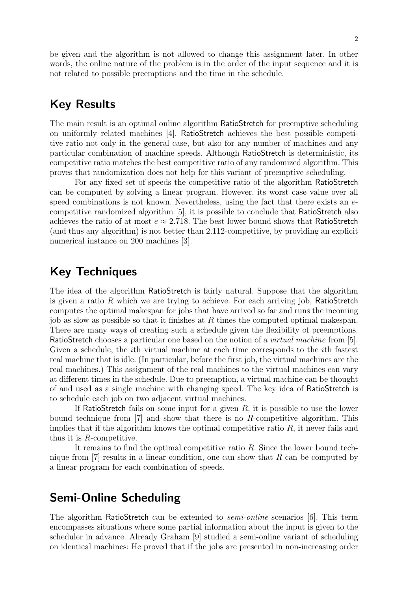be given and the algorithm is not allowed to change this assignment later. In other words, the online nature of the problem is in the order of the input sequence and it is not related to possible preemptions and the time in the schedule.

#### Key Results

The main result is an optimal online algorithm RatioStretch for preemptive scheduling on uniformly related machines [4]. RatioStretch achieves the best possible competitive ratio not only in the general case, but also for any number of machines and any particular combination of machine speeds. Although RatioStretch is deterministic, its competitive ratio matches the best competitive ratio of any randomized algorithm. This proves that randomization does not help for this variant of preemptive scheduling.

For any fixed set of speeds the competitive ratio of the algorithm RatioStretch can be computed by solving a linear program. However, its worst case value over all speed combinations is not known. Nevertheless, using the fact that there exists an  $e$ competitive randomized algorithm [5], it is possible to conclude that RatioStretch also achieves the ratio of at most  $e \approx 2.718$ . The best lower bound shows that RatioStretch (and thus any algorithm) is not better than 2.112-competitive, by providing an explicit numerical instance on 200 machines [3].

#### Key Techniques

The idea of the algorithm RatioStretch is fairly natural. Suppose that the algorithm is given a ratio R which we are trying to achieve. For each arriving job, RatioStretch computes the optimal makespan for jobs that have arrived so far and runs the incoming job as slow as possible so that it finishes at  $R$  times the computed optimal makespan. There are many ways of creating such a schedule given the flexibility of preemptions. RatioStretch chooses a particular one based on the notion of a *virtual machine* from [5]. Given a schedule, the ith virtual machine at each time corresponds to the ith fastest real machine that is idle. (In particular, before the first job, the virtual machines are the real machines.) This assignment of the real machines to the virtual machines can vary at different times in the schedule. Due to preemption, a virtual machine can be thought of and used as a single machine with changing speed. The key idea of RatioStretch is to schedule each job on two adjacent virtual machines.

If RatioStretch fails on some input for a given  $R$ , it is possible to use the lower bound technique from  $[7]$  and show that there is no R-competitive algorithm. This implies that if the algorithm knows the optimal competitive ratio  $R$ , it never fails and thus it is  $R$ -competitive.

It remains to find the optimal competitive ratio R. Since the lower bound technique from  $[7]$  results in a linear condition, one can show that R can be computed by a linear program for each combination of speeds.

## Semi-Online Scheduling

The algorithm RatioStretch can be extended to semi-online scenarios [6]. This term encompasses situations where some partial information about the input is given to the scheduler in advance. Already Graham [9] studied a semi-online variant of scheduling on identical machines: He proved that if the jobs are presented in non-increasing order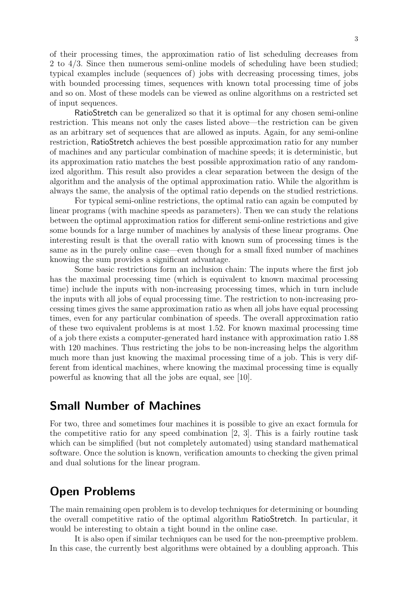of their processing times, the approximation ratio of list scheduling decreases from 2 to 4/3. Since then numerous semi-online models of scheduling have been studied; typical examples include (sequences of) jobs with decreasing processing times, jobs with bounded processing times, sequences with known total processing time of jobs and so on. Most of these models can be viewed as online algorithms on a restricted set of input sequences.

RatioStretch can be generalized so that it is optimal for any chosen semi-online restriction. This means not only the cases listed above—the restriction can be given as an arbitrary set of sequences that are allowed as inputs. Again, for any semi-online restriction, RatioStretch achieves the best possible approximation ratio for any number of machines and any particular combination of machine speeds; it is deterministic, but its approximation ratio matches the best possible approximation ratio of any randomized algorithm. This result also provides a clear separation between the design of the algorithm and the analysis of the optimal approximation ratio. While the algorithm is always the same, the analysis of the optimal ratio depends on the studied restrictions.

For typical semi-online restrictions, the optimal ratio can again be computed by linear programs (with machine speeds as parameters). Then we can study the relations between the optimal approximation ratios for different semi-online restrictions and give some bounds for a large number of machines by analysis of these linear programs. One interesting result is that the overall ratio with known sum of processing times is the same as in the purely online case—even though for a small fixed number of machines knowing the sum provides a significant advantage.

Some basic restrictions form an inclusion chain: The inputs where the first job has the maximal processing time (which is equivalent to known maximal processing time) include the inputs with non-increasing processing times, which in turn include the inputs with all jobs of equal processing time. The restriction to non-increasing processing times gives the same approximation ratio as when all jobs have equal processing times, even for any particular combination of speeds. The overall approximation ratio of these two equivalent problems is at most 1.52. For known maximal processing time of a job there exists a computer-generated hard instance with approximation ratio 1.88 with 120 machines. Thus restricting the jobs to be non-increasing helps the algorithm much more than just knowing the maximal processing time of a job. This is very different from identical machines, where knowing the maximal processing time is equally powerful as knowing that all the jobs are equal, see [10].

#### Small Number of Machines

For two, three and sometimes four machines it is possible to give an exact formula for the competitive ratio for any speed combination [2, 3]. This is a fairly routine task which can be simplified (but not completely automated) using standard mathematical software. Once the solution is known, verification amounts to checking the given primal and dual solutions for the linear program.

### Open Problems

The main remaining open problem is to develop techniques for determining or bounding the overall competitive ratio of the optimal algorithm RatioStretch. In particular, it would be interesting to obtain a tight bound in the online case.

It is also open if similar techniques can be used for the non-preemptive problem. In this case, the currently best algorithms were obtained by a doubling approach. This